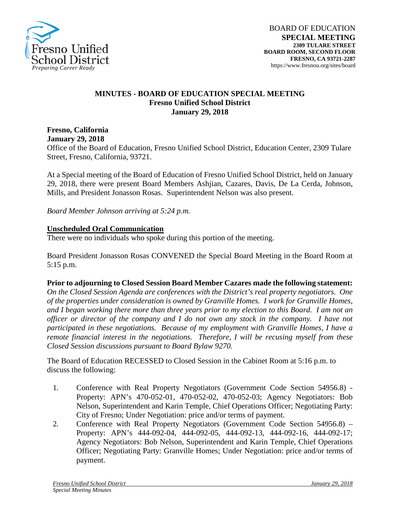

## **MINUTES - BOARD OF EDUCATION SPECIAL MEETING Fresno Unified School District January 29, 2018**

**Fresno, California January 29, 2018** Office of the Board of Education, Fresno Unified School District, Education Center, 2309 Tulare Street, Fresno, California, 93721.

At a Special meeting of the Board of Education of Fresno Unified School District, held on January 29, 2018, there were present Board Members Ashjian, Cazares, Davis, De La Cerda, Johnson, Mills, and President Jonasson Rosas. Superintendent Nelson was also present.

*Board Member Johnson arriving at 5:24 p.m.*

## **Unscheduled Oral Communication**

There were no individuals who spoke during this portion of the meeting.

Board President Jonasson Rosas CONVENED the Special Board Meeting in the Board Room at 5:15 p.m.

## **Prior to adjourning to Closed Session Board Member Cazares made the following statement:**

*On the Closed Session Agenda are conferences with the District's real property negotiators. One of the properties under consideration is owned by Granville Homes. I work for Granville Homes, and I began working there more than three years prior to my election to this Board. I am not an officer or director of the company and I do not own any stock in the company. I have not participated in these negotiations. Because of my employment with Granville Homes, I have a remote financial interest in the negotiations. Therefore, I will be recusing myself from these Closed Session discussions pursuant to Board Bylaw 9270.*

The Board of Education RECESSED to Closed Session in the Cabinet Room at 5:16 p.m. to discuss the following:

- 1. Conference with Real Property Negotiators (Government Code Section 54956.8) Property: APN's 470-052-01, 470-052-02, 470-052-03; Agency Negotiators: Bob Nelson, Superintendent and Karin Temple, Chief Operations Officer; Negotiating Party: City of Fresno; Under Negotiation: price and/or terms of payment.
- 2. Conference with Real Property Negotiators (Government Code Section 54956.8) Property: APN's 444-092-04, 444-092-05, 444-092-13, 444-092-16, 444-092-17; Agency Negotiators: Bob Nelson, Superintendent and Karin Temple, Chief Operations Officer; Negotiating Party: Granville Homes; Under Negotiation: price and/or terms of payment.